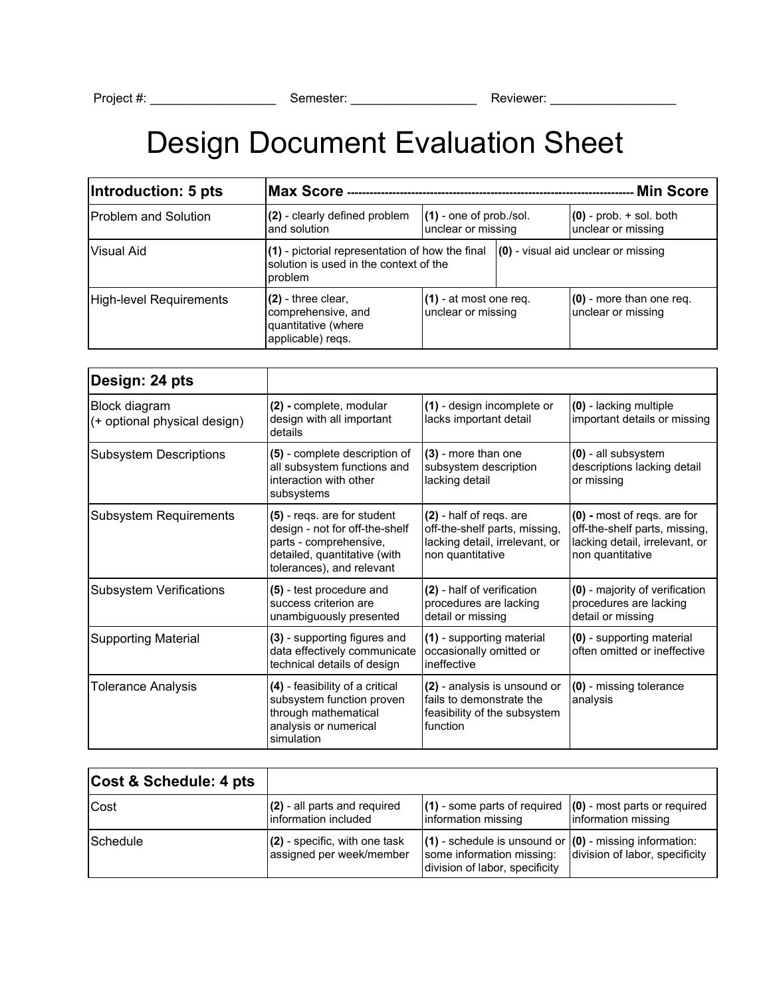## Design Document Evaluation Sheet

| Introduction: 5 pts     | Max Score --<br>- Min Score                                                                          |                                                 |                                     |                                                   |
|-------------------------|------------------------------------------------------------------------------------------------------|-------------------------------------------------|-------------------------------------|---------------------------------------------------|
| Problem and Solution    | (2) - clearly defined problem<br>and solution                                                        | $(1)$ - one of prob./sol.<br>unclear or missing |                                     | $(0)$ - prob. $+$ sol. both<br>unclear or missing |
| Visual Aid              | (1) - pictorial representation of how the final<br>solution is used in the context of the<br>problem |                                                 | (0) - visual aid unclear or missing |                                                   |
| High-level Requirements | $(2)$ - three clear,<br>comprehensive, and<br>quantitative (where<br>applicable) regs.               | $(1)$ - at most one req.<br>unclear or missing  |                                     | $(0)$ - more than one req.<br>unclear or missing  |

| Design: 24 pts                                |                                                                                                                                                      |                                                                                                                |                                                                                                                    |
|-----------------------------------------------|------------------------------------------------------------------------------------------------------------------------------------------------------|----------------------------------------------------------------------------------------------------------------|--------------------------------------------------------------------------------------------------------------------|
| Block diagram<br>(+ optional physical design) | (2) - complete, modular<br>design with all important<br>details                                                                                      | (1) - design incomplete or<br>lacks important detail                                                           | (0) - lacking multiple<br>important details or missing                                                             |
| <b>Subsystem Descriptions</b>                 | (5) - complete description of<br>all subsystem functions and<br>interaction with other<br>subsystems                                                 | (3) - more than one<br>subsystem description<br>lacking detail                                                 | (0) - all subsystem<br>descriptions lacking detail<br>or missing                                                   |
| <b>Subsystem Requirements</b>                 | (5) - regs. are for student<br>design - not for off-the-shelf<br>parts - comprehensive,<br>detailed, quantitative (with<br>tolerances), and relevant | (2) - half of regs. are<br>off-the-shelf parts, missing,<br>lacking detail, irrelevant, or<br>non quantitative | (0) - most of regs. are for<br>off-the-shelf parts, missing,<br>lacking detail, irrelevant, or<br>non quantitative |
| <b>Subsystem Verifications</b>                | (5) - test procedure and<br>success criterion are<br>unambiguously presented                                                                         | (2) - half of verification<br>procedures are lacking<br>detail or missing                                      | (0) - majority of verification<br>procedures are lacking<br>detail or missing                                      |
| <b>Supporting Material</b>                    | (3) - supporting figures and<br>data effectively communicate<br>technical details of design                                                          | (1) - supporting material<br>occasionally omitted or<br>ineffective                                            | (0) - supporting material<br>often omitted or ineffective                                                          |
| <b>Tolerance Analysis</b>                     | (4) - feasibility of a critical<br>subsystem function proven<br>through mathematical<br>analysis or numerical<br>simulation                          | (2) - analysis is unsound or<br>fails to demonstrate the<br>feasibility of the subsystem<br>function           | (0) - missing tolerance<br>analysis                                                                                |

| Cost & Schedule: 4 pts |                                                             |                                                                                                                            |                                |
|------------------------|-------------------------------------------------------------|----------------------------------------------------------------------------------------------------------------------------|--------------------------------|
| Cost                   | $(2)$ - all parts and required<br>Information included      | $(1)$ - some parts of required $(0)$ - most parts or required<br>information missing                                       | information missing            |
| Schedule               | $(2)$ - specific, with one task<br>assigned per week/member | $(1)$ - schedule is unsound or $(0)$ - missing information:<br>some information missing:<br>division of labor, specificity | division of labor, specificity |